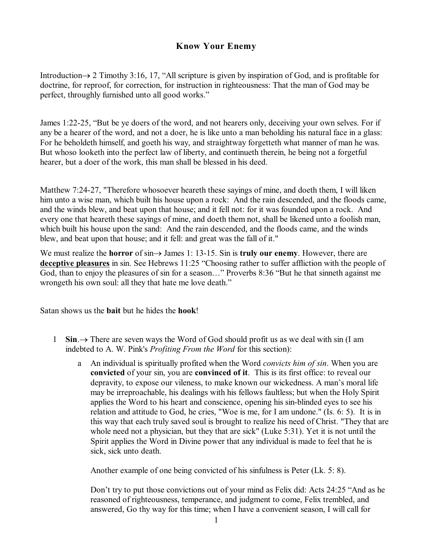# **Know Your Enemy**

Introduction $\rightarrow$  2 Timothy 3:16, 17, "All scripture is given by inspiration of God, and is profitable for doctrine, for reproof, for correction, for instruction in righteousness: That the man of God may be perfect, throughly furnished unto all good works."

James 1:22-25, "But be ye doers of the word, and not hearers only, deceiving your own selves. For if any be a hearer of the word, and not a doer, he is like unto a man beholding his natural face in a glass: For he beholdeth himself, and goeth his way, and straightway forgetteth what manner of man he was. But whoso looketh into the perfect law of liberty, and continueth therein, he being not a forgetful hearer, but a doer of the work, this man shall be blessed in his deed.

Matthew 7:24-27, "Therefore whosoever heareth these sayings of mine, and doeth them, I will liken him unto a wise man, which built his house upon a rock: And the rain descended, and the floods came, and the winds blew, and beat upon that house; and it fell not: for it was founded upon a rock. And every one that heareth these sayings of mine, and doeth them not, shall be likened unto a foolish man, which built his house upon the sand: And the rain descended, and the floods came, and the winds blew, and beat upon that house; and it fell: and great was the fall of it."

We must realize the **horror** of  $\sin \rightarrow$  James 1: 13-15. Sin is **truly our enemy**. However, there are **deceptive pleasures** in sin. See Hebrews 11:25 "Choosing rather to suffer affliction with the people of God, than to enjoy the pleasures of sin for a season…" Proverbs 8:36 "But he that sinneth against me wrongeth his own soul: all they that hate me love death."

Satan shows us the **bait** but he hides the **hook**!

- 1 **Sin.** $\rightarrow$  There are seven ways the Word of God should profit us as we deal with sin (I am indebted to A. W. Pink's *Profiting From the Word* for this section):
	- a An individual is spiritually profited when the Word *convicts him of sin*. When you are **convicted** of your sin, you are **convinced of it**. This is its first office: to reveal our depravity, to expose our vileness, to make known our wickedness. A man's moral life may be irreproachable, his dealings with his fellows faultless; but when the Holy Spirit applies the Word to his heart and conscience, opening his sin-blinded eyes to see his relation and attitude to God, he cries, "Woe is me, for I am undone." (Is. 6: 5). It is in this way that each truly saved soul is brought to realize his need of Christ. "They that are whole need not a physician, but they that are sick" (Luke 5:31). Yet it is not until the Spirit applies the Word in Divine power that any individual is made to feel that he is sick, sick unto death.

Another example of one being convicted of his sinfulness is Peter (Lk. 5: 8).

Don't try to put those convictions out of your mind as Felix did: Acts 24:25 "And as he reasoned of righteousness, temperance, and judgment to come, Felix trembled, and answered, Go thy way for this time; when I have a convenient season, I will call for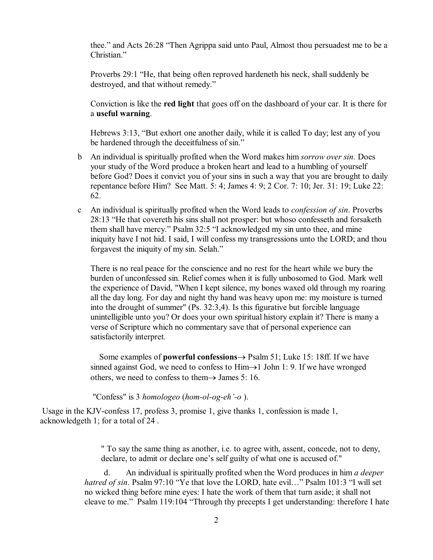thee." and Acts 26:28 "Then Agrippa said unto Paul, Almost thou persuadest me to be a Christian."

Proverbs 29:1 "He, that being often reproved hardeneth his neck, shall suddenly be destroyed, and that without remedy."

Conviction is like the **red light** that goes off on the dashboard of your car. It is there for a **useful warning**.

Hebrews 3:13, "But exhort one another daily, while it is called To day; lest any of you be hardened through the deceitfulness of sin."

- b An individual is spiritually profited when the Word makes him *sorrow over sin*. Does your study of the Word produce a broken heart and lead to a humbling of yourself before God? Does it convict you of your sins in such a way that you are brought to daily repentance before Him? See Matt. 5: 4; James 4: 9; 2 Cor. 7: 10; Jer. 31: 19; Luke 22: 62.
- c An individual is spiritually profited when the Word leads to *confession of sin*. Proverbs 28:13 "He that covereth his sins shall not prosper: but whoso confesseth and forsaketh them shall have mercy." Psalm 32:5 "I acknowledged my sin unto thee, and mine iniquity have I not hid. I said, I will confess my transgressions unto the LORD; and thou forgavest the iniquity of my sin. Selah."

There is no real peace for the conscience and no rest for the heart while we bury the burden of unconfessed sin. Relief comes when it is fully unbosomed to God. Mark well the experience of David, "When I kept silence, my bones waxed old through my roaring all the day long. For day and night thy hand was heavy upon me: my moisture is turned into the drought of summer" (Ps. 32:3,4). Is this figurative but forcible language unintelligible unto you? Or does your own spiritual history explain it? There is many a verse of Scripture which no commentary save that of personal experience can satisfactorily interpret.

Some examples of **powerful confessions**® Psalm 51; Luke 15: 18ff. If we have sinned against God, we need to confess to  $\text{Him} \rightarrow 1$  John 1: 9. If we have wronged others, we need to confess to them $\rightarrow$  James 5: 16.

"Confess" is 3 *homologeo* (*hom-ol-og-eh'-o* ).

Usage in the KJV-confess 17, profess 3, promise 1, give thanks 1, confession is made 1, acknowledgeth 1; for a total of 24 .

> " To say the same thing as another, i.e. to agree with, assent, concede, not to deny, declare, to admit or declare one's self guilty of what one is accused of."

d. An individual is spiritually profited when the Word produces in him *a deeper hatred of sin*. Psalm 97:10 "Ye that love the LORD, hate evil…" Psalm 101:3 "I will set no wicked thing before mine eyes: I hate the work of them that turn aside; it shall not cleave to me." Psalm 119:104 "Through thy precepts I get understanding: therefore I hate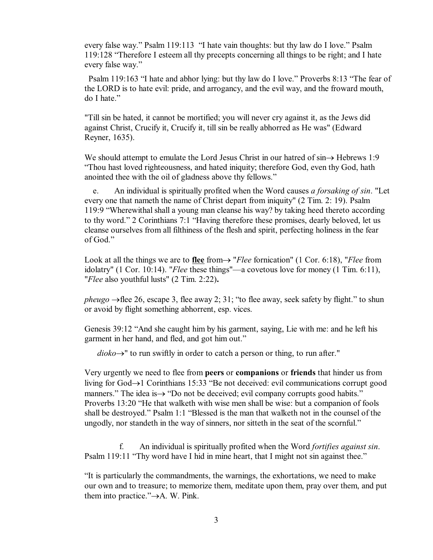every false way." Psalm 119:113 "I hate vain thoughts: but thy law do I love." Psalm 119:128 "Therefore I esteem all thy precepts concerning all things to be right; and I hate every false way."

Psalm 119:163 "I hate and abhor lying: but thy law do I love." Proverbs 8:13 "The fear of the LORD is to hate evil: pride, and arrogancy, and the evil way, and the froward mouth, do I hate."

"Till sin be hated, it cannot be mortified; you will never cry against it, as the Jews did against Christ, Crucify it, Crucify it, till sin be really abhorred as He was" (Edward Reyner, 1635).

We should attempt to emulate the Lord Jesus Christ in our hatred of  $\sin \rightarrow$  Hebrews 1:9 "Thou hast loved righteousness, and hated iniquity; therefore God, even thy God, hath anointed thee with the oil of gladness above thy fellows."

e. An individual is spiritually profited when the Word causes *a forsaking of sin*. "Let every one that nameth the name of Christ depart from iniquity" (2 Tim. 2: 19). Psalm 119:9 "Wherewithal shall a young man cleanse his way? by taking heed thereto according to thy word." 2 Corinthians 7:1 "Having therefore these promises, dearly beloved, let us cleanse ourselves from all filthiness of the flesh and spirit, perfecting holiness in the fear of God."

Look at all the things we are to **flee** from  $\rightarrow$  "*Flee* fornication" (1 Cor. 6:18), "*Flee* from idolatry" (1 Cor. 10:14). "*Flee* these things"—a covetous love for money (1 Tim. 6:11), "*Flee* also youthful lusts" (2 Tim. 2:22)**.**

*pheugo*  $\rightarrow$  flee 26, escape 3, flee away 2; 31; "to flee away, seek safety by flight." to shun or avoid by flight something abhorrent, esp. vices.

Genesis 39:12 "And she caught him by his garment, saying, Lie with me: and he left his garment in her hand, and fled, and got him out."

 $dioko \rightarrow$ " to run swiftly in order to catch a person or thing, to run after."

Very urgently we need to flee from **peers** or **companions** or **friends** that hinder us from living for  $God \rightarrow 1$  Corinthians 15:33 "Be not deceived: evil communications corrupt good manners." The idea is  $\rightarrow$  "Do not be deceived; evil company corrupts good habits." Proverbs 13:20 "He that walketh with wise men shall be wise: but a companion of fools shall be destroyed." Psalm 1:1 "Blessed is the man that walketh not in the counsel of the ungodly, nor standeth in the way of sinners, nor sitteth in the seat of the scornful."

f. An individual is spiritually profited when the Word *fortifies against sin*. Psalm 119:11 "Thy word have I hid in mine heart, that I might not sin against thee."

"It is particularly the commandments, the warnings, the exhortations, we need to make our own and to treasure; to memorize them, meditate upon them, pray over them, and put them into practice." $\rightarrow$ A. W. Pink.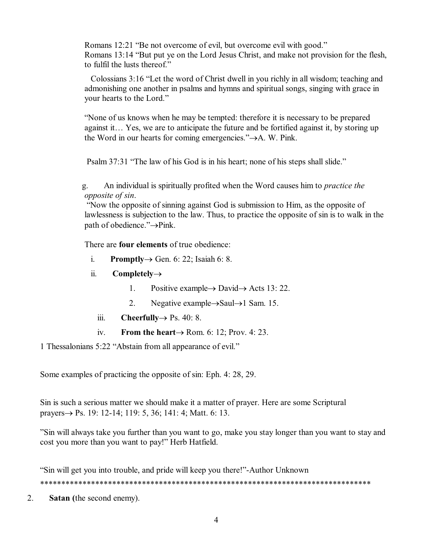Romans 12:21 "Be not overcome of evil, but overcome evil with good." Romans 13:14 "But put ye on the Lord Jesus Christ, and make not provision for the flesh, to fulfil the lusts thereof."

Colossians 3:16 "Let the word of Christ dwell in you richly in all wisdom; teaching and admonishing one another in psalms and hymns and spiritual songs, singing with grace in your hearts to the Lord."

"None of us knows when he may be tempted: therefore it is necessary to be prepared against it… Yes, we are to anticipate the future and be fortified against it, by storing up the Word in our hearts for coming emergencies." $\rightarrow$ A. W. Pink.

Psalm 37:31 "The law of his God is in his heart; none of his steps shall slide."

g. An individual is spiritually profited when the Word causes him to *practice the opposite of sin*.

"Now the opposite of sinning against God is submission to Him, as the opposite of lawlessness is subjection to the law. Thus, to practice the opposite of sin is to walk in the path of obedience." $\rightarrow$ Pink.

There are **four elements** of true obedience:

- i. **Promptly** $\rightarrow$  Gen. 6: 22; Isaiah 6: 8.
- ii. **Completely** $\rightarrow$ 
	- 1. Positive example  $\rightarrow$  David  $\rightarrow$  Acts 13: 22.
	- 2. Negative example $\rightarrow$ Saul $\rightarrow$ 1 Sam. 15.
	- iii. **Cheerfully** $\rightarrow$  Ps. 40: 8.
	- iv. **From the heart** $\rightarrow$  Rom. 6: 12; Prov. 4: 23.

1 Thessalonians 5:22 "Abstain from all appearance of evil."

Some examples of practicing the opposite of sin: Eph. 4: 28, 29.

Sin is such a serious matter we should make it a matter of prayer. Here are some Scriptural prayers $\rightarrow$  Ps. 19: 12-14; 119: 5, 36; 141: 4; Matt. 6: 13.

"Sin will always take you further than you want to go, make you stay longer than you want to stay and cost you more than you want to pay!" Herb Hatfield.

"Sin will get you into trouble, and pride will keep you there!"-Author Unknown \*\*\*\*\*\*\*\*\*\*\*\*\*\*\*\*\*\*\*\*\*\*\*\*\*\*\*\*\*\*\*\*\*\*\*\*\*\*\*\*\*\*\*\*\*\*\*\*\*\*\*\*\*\*\*\*\*\*\*\*\*\*\*\*\*\*\*\*\*\*\*\*\*\*\*\*\*\*

2. **Satan (**the second enemy).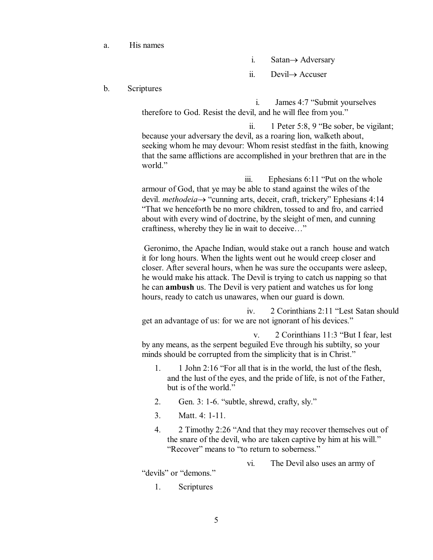#### a. His names

i. Satan $\rightarrow$  Adversary

ii. Devil $\rightarrow$  Accuser

### b. Scriptures

i. James 4:7 "Submit yourselves therefore to God. Resist the devil, and he will flee from you."

ii. 1 Peter 5:8, 9 "Be sober, be vigilant; because your adversary the devil, as a roaring lion, walketh about, seeking whom he may devour: Whom resist stedfast in the faith, knowing that the same afflictions are accomplished in your brethren that are in the world."

iii. Ephesians 6:11 "Put on the whole armour of God, that ye may be able to stand against the wiles of the devil. *methodeia* → "cunning arts, deceit, craft, trickery" Ephesians 4:14 "That we henceforth be no more children, tossed to and fro, and carried about with every wind of doctrine, by the sleight of men, and cunning craftiness, whereby they lie in wait to deceive…"

Geronimo, the Apache Indian, would stake out a ranch house and watch it for long hours. When the lights went out he would creep closer and closer. After several hours, when he was sure the occupants were asleep, he would make his attack. The Devil is trying to catch us napping so that he can **ambush** us. The Devil is very patient and watches us for long hours, ready to catch us unawares, when our guard is down.

iv. 2 Corinthians 2:11 "Lest Satan should get an advantage of us: for we are not ignorant of his devices."

v. 2 Corinthians 11:3 "But I fear, lest by any means, as the serpent beguiled Eve through his subtilty, so your minds should be corrupted from the simplicity that is in Christ."

- 1. 1 John 2:16 "For all that is in the world, the lust of the flesh, and the lust of the eyes, and the pride of life, is not of the Father, but is of the world."
- 2. Gen. 3: 1-6. "subtle, shrewd, crafty, sly."
- 3. Matt. 4: 1-11.
- 4. 2 Timothy 2:26 "And that they may recover themselves out of the snare of the devil, who are taken captive by him at his will." "Recover" means to "to return to soberness."

vi. The Devil also uses an army of

"devils" or "demons."

1. Scriptures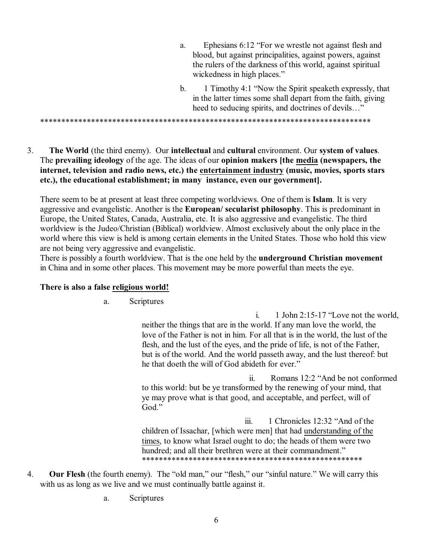- a. Ephesians 6:12 "For we wrestle not against flesh and blood, but against principalities, against powers, against the rulers of the darkness of this world, against spiritual wickedness in high places."
- b. 1 Timothy 4:1 "Now the Spirit speaketh expressly, that in the latter times some shall depart from the faith, giving heed to seducing spirits, and doctrines of devils…"

\*\*\*\*\*\*\*\*\*\*\*\*\*\*\*\*\*\*\*\*\*\*\*\*\*\*\*\*\*\*\*\*\*\*\*\*\*\*\*\*\*\*\*\*\*\*\*\*\*\*\*\*\*\*\*\*\*\*\*\*\*\*\*\*\*\*\*\*\*\*\*\*\*\*\*\*\*\*

3. **The World** (the third enemy). Our **intellectual** and **cultural** environment. Our **system of values**. The **prevailing ideology** of the age. The ideas of our **opinion makers [the media (newspapers, the internet, television and radio news, etc.) the entertainment industry (music, movies, sports stars etc.), the educational establishment; in many instance, even our government].**

There seem to be at present at least three competing worldviews. One of them is **Islam**. It is very aggressive and evangelistic. Another is the **European/ secularist philosophy**. This is predominant in Europe, the United States, Canada, Australia, etc. It is also aggressive and evangelistic. The third worldview is the Judeo/Christian (Biblical) worldview. Almost exclusively about the only place in the world where this view is held is among certain elements in the United States. Those who hold this view are not being very aggressive and evangelistic.

There is possibly a fourth worldview. That is the one held by the **underground Christian movement** in China and in some other places. This movement may be more powerful than meets the eye.

### **There is also a false religious world!**

a. Scriptures

i. 1 John 2:15-17 "Love not the world, neither the things that are in the world. If any man love the world, the love of the Father is not in him. For all that is in the world, the lust of the flesh, and the lust of the eyes, and the pride of life, is not of the Father, but is of the world. And the world passeth away, and the lust thereof: but he that doeth the will of God abideth for ever."

ii. Romans 12:2 "And be not conformed to this world: but be ye transformed by the renewing of your mind, that ye may prove what is that good, and acceptable, and perfect, will of God."

iii. 1 Chronicles 12:32 "And of the children of Issachar, [which were men] that had understanding of the times, to know what Israel ought to do; the heads of them were two hundred; and all their brethren were at their commandment." \*\*\*\*\*\*\*\*\*\*\*\*\*\*\*\*\*\*\*\*\*\*\*\*\*\*\*\*\*\*\*\*\*\*\*\*\*\*\*\*\*\*\*\*\*\*\*\*\*\*\*\*

- 4. **Our Flesh** (the fourth enemy). The "old man," our "flesh," our "sinful nature." We will carry this with us as long as we live and we must continually battle against it.
	- a. Scriptures